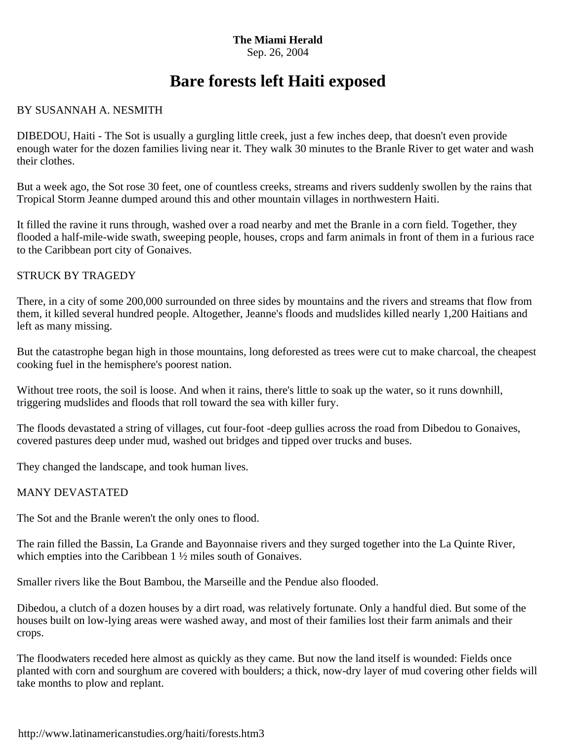#### **The Miami Herald** Sep. 26, 2004

# **Bare forests left Haiti exposed**

## BY SUSANNAH A. NESMITH

DIBEDOU, Haiti - The Sot is usually a gurgling little creek, just a few inches deep, that doesn't even provide enough water for the dozen families living near it. They walk 30 minutes to the Branle River to get water and wash their clothes.

But a week ago, the Sot rose 30 feet, one of countless creeks, streams and rivers suddenly swollen by the rains that Tropical Storm Jeanne dumped around this and other mountain villages in northwestern Haiti.

It filled the ravine it runs through, washed over a road nearby and met the Branle in a corn field. Together, they flooded a half-mile-wide swath, sweeping people, houses, crops and farm animals in front of them in a furious race to the Caribbean port city of Gonaives.

### STRUCK BY TRAGEDY

There, in a city of some 200,000 surrounded on three sides by mountains and the rivers and streams that flow from them, it killed several hundred people. Altogether, Jeanne's floods and mudslides killed nearly 1,200 Haitians and left as many missing.

But the catastrophe began high in those mountains, long deforested as trees were cut to make charcoal, the cheapest cooking fuel in the hemisphere's poorest nation.

Without tree roots, the soil is loose. And when it rains, there's little to soak up the water, so it runs downhill, triggering mudslides and floods that roll toward the sea with killer fury.

The floods devastated a string of villages, cut four-foot -deep gullies across the road from Dibedou to Gonaives, covered pastures deep under mud, washed out bridges and tipped over trucks and buses.

They changed the landscape, and took human lives.

#### MANY DEVASTATED

The Sot and the Branle weren't the only ones to flood.

The rain filled the Bassin, La Grande and Bayonnaise rivers and they surged together into the La Quinte River, which empties into the Caribbean 1  $\frac{1}{2}$  miles south of Gonaives.

Smaller rivers like the Bout Bambou, the Marseille and the Pendue also flooded.

Dibedou, a clutch of a dozen houses by a dirt road, was relatively fortunate. Only a handful died. But some of the houses built on low-lying areas were washed away, and most of their families lost their farm animals and their crops.

The floodwaters receded here almost as quickly as they came. But now the land itself is wounded: Fields once planted with corn and sourghum are covered with boulders; a thick, now-dry layer of mud covering other fields will take months to plow and replant.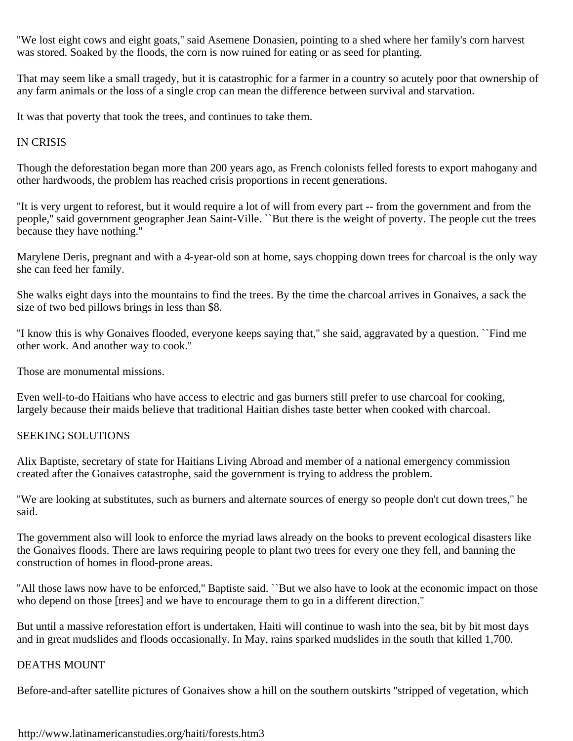''We lost eight cows and eight goats,'' said Asemene Donasien, pointing to a shed where her family's corn harvest was stored. Soaked by the floods, the corn is now ruined for eating or as seed for planting.

That may seem like a small tragedy, but it is catastrophic for a farmer in a country so acutely poor that ownership of any farm animals or the loss of a single crop can mean the difference between survival and starvation.

It was that poverty that took the trees, and continues to take them.

### IN CRISIS

Though the deforestation began more than 200 years ago, as French colonists felled forests to export mahogany and other hardwoods, the problem has reached crisis proportions in recent generations.

''It is very urgent to reforest, but it would require a lot of will from every part -- from the government and from the people,'' said government geographer Jean Saint-Ville. ``But there is the weight of poverty. The people cut the trees because they have nothing.''

Marylene Deris, pregnant and with a 4-year-old son at home, says chopping down trees for charcoal is the only way she can feed her family.

She walks eight days into the mountains to find the trees. By the time the charcoal arrives in Gonaives, a sack the size of two bed pillows brings in less than \$8.

''I know this is why Gonaives flooded, everyone keeps saying that,'' she said, aggravated by a question. ``Find me other work. And another way to cook.''

Those are monumental missions.

Even well-to-do Haitians who have access to electric and gas burners still prefer to use charcoal for cooking, largely because their maids believe that traditional Haitian dishes taste better when cooked with charcoal.

#### SEEKING SOLUTIONS

Alix Baptiste, secretary of state for Haitians Living Abroad and member of a national emergency commission created after the Gonaives catastrophe, said the government is trying to address the problem.

''We are looking at substitutes, such as burners and alternate sources of energy so people don't cut down trees,'' he said.

The government also will look to enforce the myriad laws already on the books to prevent ecological disasters like the Gonaives floods. There are laws requiring people to plant two trees for every one they fell, and banning the construction of homes in flood-prone areas.

''All those laws now have to be enforced,'' Baptiste said. ``But we also have to look at the economic impact on those who depend on those [trees] and we have to encourage them to go in a different direction.''

But until a massive reforestation effort is undertaken, Haiti will continue to wash into the sea, bit by bit most days and in great mudslides and floods occasionally. In May, rains sparked mudslides in the south that killed 1,700.

#### DEATHS MOUNT

Before-and-after satellite pictures of Gonaives show a hill on the southern outskirts ''stripped of vegetation, which